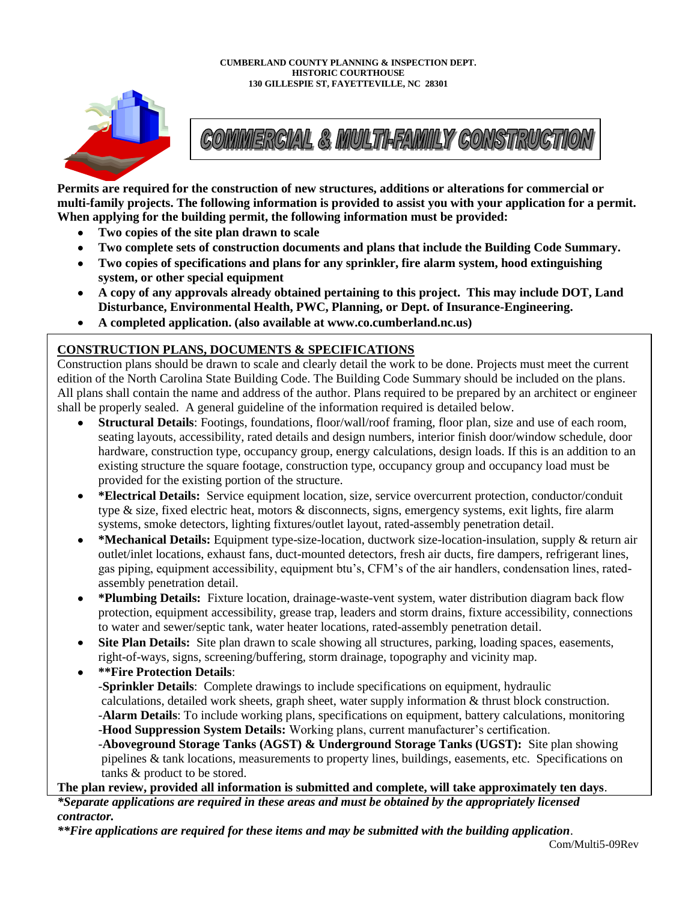#### **CUMBERLAND COUNTY PLANNING & INSPECTION DEPT. HISTORIC COURTHOUSE 130 GILLESPIE ST, FAYETTEVILLE, NC 28301**



# COMMERCIAL & MULTI-FAMILY CONSTRUCTI

**Permits are required for the construction of new structures, additions or alterations for commercial or multi-family projects. The following information is provided to assist you with your application for a permit. When applying for the building permit, the following information must be provided:**

- **Two copies of the site plan drawn to scale**  $\bullet$
- **Two complete sets of construction documents and plans that include the Building Code Summary.**  $\bullet$
- **Two copies of specifications and plans for any sprinkler, fire alarm system, hood extinguishing system, or other special equipment**
- $\bullet$ **A copy of any approvals already obtained pertaining to this project. This may include DOT, Land Disturbance, Environmental Health, PWC, Planning, or Dept. of Insurance-Engineering.**
- **A completed application. (also available at www.co.cumberland.nc.us)**  $\bullet$

# **CONSTRUCTION PLANS, DOCUMENTS & SPECIFICATIONS**

Construction plans should be drawn to scale and clearly detail the work to be done. Projects must meet the current edition of the North Carolina State Building Code. The Building Code Summary should be included on the plans. All plans shall contain the name and address of the author. Plans required to be prepared by an architect or engineer shall be properly sealed. A general guideline of the information required is detailed below.

- **Structural Details**: Footings, foundations, floor/wall/roof framing, floor plan, size and use of each room, seating layouts, accessibility, rated details and design numbers, interior finish door/window schedule, door hardware, construction type, occupancy group, energy calculations, design loads. If this is an addition to an existing structure the square footage, construction type, occupancy group and occupancy load must be provided for the existing portion of the structure.
- **\*Electrical Details:** Service equipment location, size, service overcurrent protection, conductor/conduit type & size, fixed electric heat, motors & disconnects, signs, emergency systems, exit lights, fire alarm systems, smoke detectors, lighting fixtures/outlet layout, rated-assembly penetration detail.
- **\*Mechanical Details:** Equipment type-size-location, ductwork size-location-insulation, supply & return air outlet/inlet locations, exhaust fans, duct-mounted detectors, fresh air ducts, fire dampers, refrigerant lines, gas piping, equipment accessibility, equipment btu's, CFM's of the air handlers, condensation lines, ratedassembly penetration detail.
- **\*Plumbing Details:** Fixture location, drainage-waste-vent system, water distribution diagram back flow protection, equipment accessibility, grease trap, leaders and storm drains, fixture accessibility, connections to water and sewer/septic tank, water heater locations, rated-assembly penetration detail.
- **Site Plan Details:** Site plan drawn to scale showing all structures, parking, loading spaces, easements,  $\bullet$ right-of-ways, signs, screening/buffering, storm drainage, topography and vicinity map.
- **\*\*Fire Protection Details**:
	- -**Sprinkler Details**: Complete drawings to include specifications on equipment, hydraulic
	- calculations, detailed work sheets, graph sheet, water supply information & thrust block construction.
	- -**Alarm Details**: To include working plans, specifications on equipment, battery calculations, monitoring -**Hood Suppression System Details:** Working plans, current manufacturer's certification.

-**Aboveground Storage Tanks (AGST) & Underground Storage Tanks (UGST):** Site plan showing pipelines & tank locations, measurements to property lines, buildings, easements, etc. Specifications on tanks & product to be stored.

# **The plan review, provided all information is submitted and complete, will take approximately ten days**.

*\*Separate applications are required in these areas and must be obtained by the appropriately licensed contractor.*

*\*\*Fire applications are required for these items and may be submitted with the building application*.